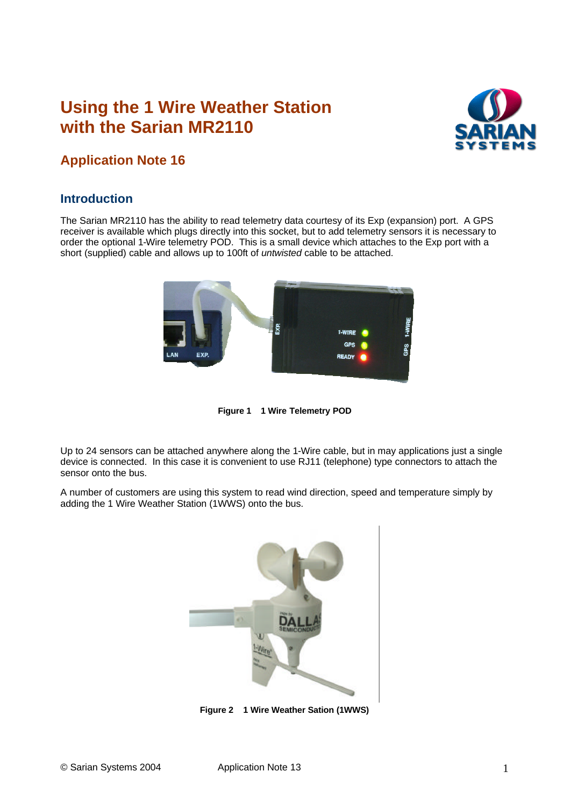# **Using the 1 Wire Weather Station with the Sarian MR2110**



## **Application Note 16**

### **Introduction**

The Sarian MR2110 has the ability to read telemetry data courtesy of its Exp (expansion) port. A GPS receiver is available which plugs directly into this socket, but to add telemetry sensors it is necessary to order the optional 1-Wire telemetry POD. This is a small device which attaches to the Exp port with a short (supplied) cable and allows up to 100ft of *untwisted* cable to be attached.



**Figure 1 1 Wire Telemetry POD**

Up to 24 sensors can be attached anywhere along the 1-Wire cable, but in may applications just a single device is connected. In this case it is convenient to use RJ11 (telephone) type connectors to attach the sensor onto the bus.

A number of customers are using this system to read wind direction, speed and temperature simply by adding the 1 Wire Weather Station (1WWS) onto the bus.



**Figure 2 1 Wire Weather Sation (1WWS)**